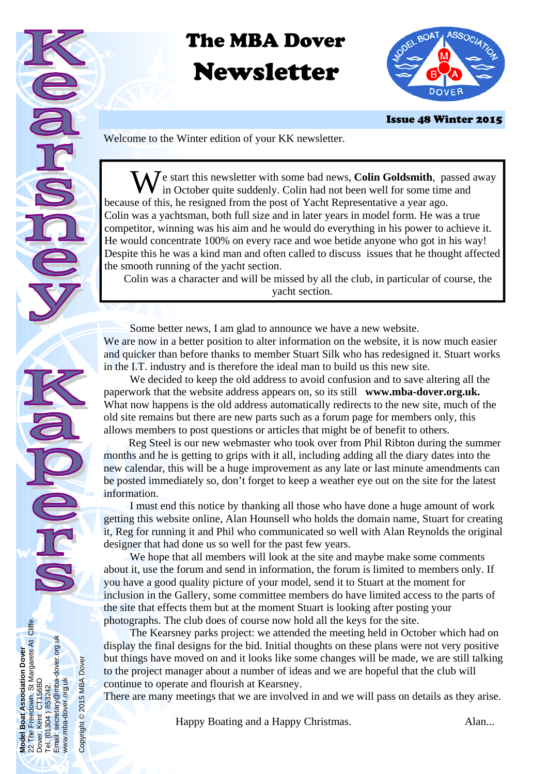# The MBA Dover Newsletter



Issue 48 Winter 2015

Welcome to the Winter edition of your KK newsletter.

 $\sum \delta$  is start this newsletter with some bad news, **Colin Goldsmith**, passed away in October quite suddenly. Colin had not been well for some time and because of this, he resigned from the post of Yacht Representative a year ago. Colin was a yachtsman, both full size and in later years in model form. He was a true competitor, winning was his aim and he would do everything in his power to achieve it. He would concentrate 100% on every race and woe betide anyone who got in his way! Despite this he was a kind man and often called to discuss issues that he thought affected the smooth running of the yacht section.

 Colin was a character and will be missed by all the club, in particular of course, the yacht section.

 Some better news, I am glad to announce we have a new website. We are now in a better position to alter information on the website, it is now much easier and quicker than before thanks to member Stuart Silk who has redesigned it. Stuart works in the I.T. industry and is therefore the ideal man to build us this new site.

 We decided to keep the old address to avoid confusion and to save altering all the paperwork that the website address appears on, so its still **www.mba-dover.org.uk.** What now happens is the old address automatically redirects to the new site, much of the old site remains but there are new parts such as a forum page for members only, this allows members to post questions or articles that might be of benefit to others.

 Reg Steel is our new webmaster who took over from Phil Ribton during the summer months and he is getting to grips with it all, including adding all the diary dates into the new calendar, this will be a huge improvement as any late or last minute amendments can be posted immediately so, don't forget to keep a weather eye out on the site for the latest information.

 I must end this notice by thanking all those who have done a huge amount of work getting this website online, Alan Hounsell who holds the domain name, Stuart for creating it, Reg for running it and Phil who communicated so well with Alan Reynolds the original designer that had done us so well for the past few years.

 We hope that all members will look at the site and maybe make some comments about it, use the forum and send in information, the forum is limited to members only. If you have a good quality picture of your model, send it to Stuart at the moment for inclusion in the Gallery, some committee members do have limited access to the parts of the site that effects them but at the moment Stuart is looking after posting your photographs. The club does of course now hold all the keys for the site.

 The Kearsney parks project: we attended the meeting held in October which had on display the final designs for the bid. Initial thoughts on these plans were not very positive but things have moved on and it looks like some changes will be made, we are still talking to the project manager about a number of ideas and we are hopeful that the club will continue to operate and flourish at Kearsney.

There are many meetings that we are involved in and we will pass on details as they arise.

Happy Boating and a Happy Christmas. Alan...

**Model Boat Association Dover**  22 The Freedown, St Margarets At Cliffe.

Boat Association Dover<br>Freedown, St Margarets At Cliffe.<br>Kent\_CT156BD

**Model E**<br>22 The I<br>Dover<br>Pover

Dover. Kent CT156BD Tel. (01304 ) 853242.

 $\tilde{\varepsilon}$ Te<sup>l</sup> Email: secretary@mba-dover.org.uk

i voirittori 1999<br>1304 ) 853242.<br>secretary@mba-dover.org.uk

www.mba-dover.org.uk

www.mba-dover.org.uk

Copyright © 2015 MBA Dover

Copyright @ 2015 MBA Dover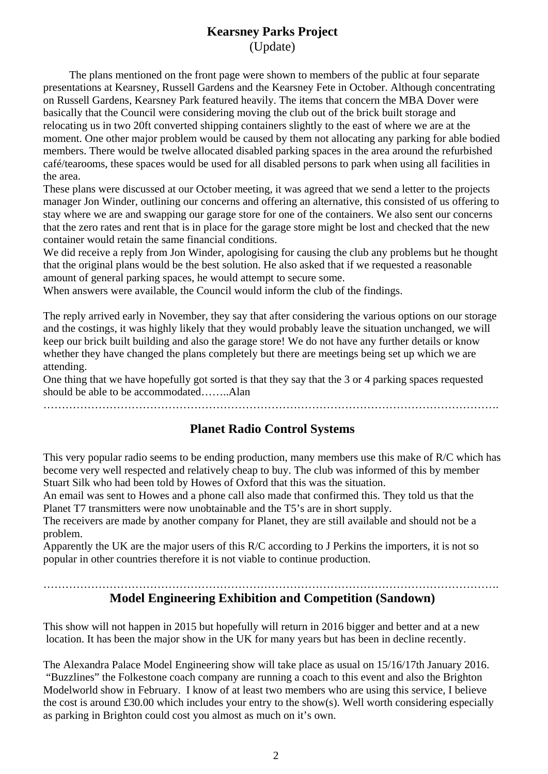#### **Kearsney Parks Project**  (Update)

 The plans mentioned on the front page were shown to members of the public at four separate presentations at Kearsney, Russell Gardens and the Kearsney Fete in October. Although concentrating on Russell Gardens, Kearsney Park featured heavily. The items that concern the MBA Dover were basically that the Council were considering moving the club out of the brick built storage and relocating us in two 20ft converted shipping containers slightly to the east of where we are at the moment. One other major problem would be caused by them not allocating any parking for able bodied members. There would be twelve allocated disabled parking spaces in the area around the refurbished café/tearooms, these spaces would be used for all disabled persons to park when using all facilities in the area.

These plans were discussed at our October meeting, it was agreed that we send a letter to the projects manager Jon Winder, outlining our concerns and offering an alternative, this consisted of us offering to stay where we are and swapping our garage store for one of the containers. We also sent our concerns that the zero rates and rent that is in place for the garage store might be lost and checked that the new container would retain the same financial conditions.

We did receive a reply from Jon Winder, apologising for causing the club any problems but he thought that the original plans would be the best solution. He also asked that if we requested a reasonable amount of general parking spaces, he would attempt to secure some.

When answers were available, the Council would inform the club of the findings.

The reply arrived early in November, they say that after considering the various options on our storage and the costings, it was highly likely that they would probably leave the situation unchanged, we will keep our brick built building and also the garage store! We do not have any further details or know whether they have changed the plans completely but there are meetings being set up which we are attending.

One thing that we have hopefully got sorted is that they say that the 3 or 4 parking spaces requested should be able to be accommodated……..Alan

…………………………………………………………………………………………………………….

#### **Planet Radio Control Systems**

This very popular radio seems to be ending production, many members use this make of R/C which has become very well respected and relatively cheap to buy. The club was informed of this by member Stuart Silk who had been told by Howes of Oxford that this was the situation.

An email was sent to Howes and a phone call also made that confirmed this. They told us that the Planet T7 transmitters were now unobtainable and the T5's are in short supply.

The receivers are made by another company for Planet, they are still available and should not be a problem.

Apparently the UK are the major users of this R/C according to J Perkins the importers, it is not so popular in other countries therefore it is not viable to continue production.

#### ……………………………………………………………………………………………………………. **Model Engineering Exhibition and Competition (Sandown)**

This show will not happen in 2015 but hopefully will return in 2016 bigger and better and at a new location. It has been the major show in the UK for many years but has been in decline recently.

The Alexandra Palace Model Engineering show will take place as usual on 15/16/17th January 2016. "Buzzlines" the Folkestone coach company are running a coach to this event and also the Brighton Modelworld show in February. I know of at least two members who are using this service, I believe the cost is around £30.00 which includes your entry to the show(s). Well worth considering especially as parking in Brighton could cost you almost as much on it's own.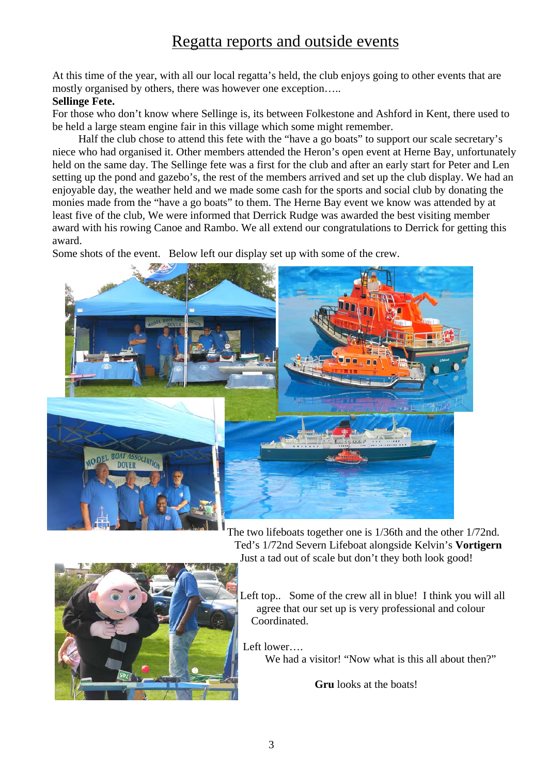## Regatta reports and outside events

At this time of the year, with all our local regatta's held, the club enjoys going to other events that are mostly organised by others, there was however one exception…..

#### **Sellinge Fete.**

For those who don't know where Sellinge is, its between Folkestone and Ashford in Kent, there used to be held a large steam engine fair in this village which some might remember.

Half the club chose to attend this fete with the "have a go boats" to support our scale secretary's niece who had organised it. Other members attended the Heron's open event at Herne Bay, unfortunately held on the same day. The Sellinge fete was a first for the club and after an early start for Peter and Len setting up the pond and gazebo's, the rest of the members arrived and set up the club display. We had an enjoyable day, the weather held and we made some cash for the sports and social club by donating the monies made from the "have a go boats" to them. The Herne Bay event we know was attended by at least five of the club, We were informed that Derrick Rudge was awarded the best visiting member award with his rowing Canoe and Rambo. We all extend our congratulations to Derrick for getting this award.

Some shots of the event. Below left our display set up with some of the crew.



The two lifeboats together one is 1/36th and the other 1/72nd. Ted's 1/72nd Severn Lifeboat alongside Kelvin's **Vortigern**  Just a tad out of scale but don't they both look good!



Left top.. Some of the crew all in blue! I think you will all agree that our set up is very professional and colour Coordinated.

Left lower….

We had a visitor! "Now what is this all about then?"

**Gru** looks at the boats!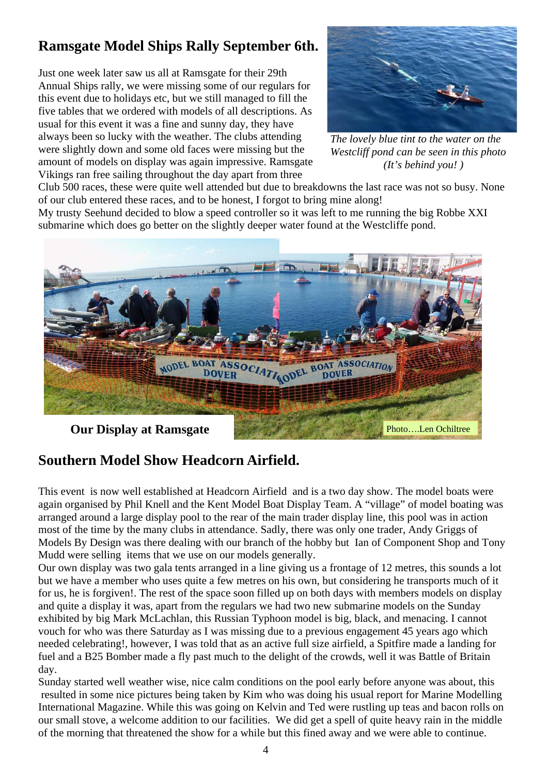## **Ramsgate Model Ships Rally September 6th.**

Just one week later saw us all at Ramsgate for their 29th Annual Ships rally, we were missing some of our regulars for this event due to holidays etc, but we still managed to fill the five tables that we ordered with models of all descriptions. As usual for this event it was a fine and sunny day, they have always been so lucky with the weather. The clubs attending were slightly down and some old faces were missing but the amount of models on display was again impressive. Ramsgate Vikings ran free sailing throughout the day apart from three



*The lovely blue tint to the water on the Westcliff pond can be seen in this photo (It's behind you! )* 

Club 500 races, these were quite well attended but due to breakdowns the last race was not so busy. None of our club entered these races, and to be honest, I forgot to bring mine along!

My trusty Seehund decided to blow a speed controller so it was left to me running the big Robbe XXI submarine which does go better on the slightly deeper water found at the Westcliffe pond.



**Our Display at Ramsgate** 

### **Southern Model Show Headcorn Airfield.**

This event is now well established at Headcorn Airfield and is a two day show. The model boats were again organised by Phil Knell and the Kent Model Boat Display Team. A "village" of model boating was arranged around a large display pool to the rear of the main trader display line, this pool was in action most of the time by the many clubs in attendance. Sadly, there was only one trader, Andy Griggs of Models By Design was there dealing with our branch of the hobby but Ian of Component Shop and Tony Mudd were selling items that we use on our models generally.

Our own display was two gala tents arranged in a line giving us a frontage of 12 metres, this sounds a lot but we have a member who uses quite a few metres on his own, but considering he transports much of it for us, he is forgiven!. The rest of the space soon filled up on both days with members models on display and quite a display it was, apart from the regulars we had two new submarine models on the Sunday exhibited by big Mark McLachlan, this Russian Typhoon model is big, black, and menacing. I cannot vouch for who was there Saturday as I was missing due to a previous engagement 45 years ago which needed celebrating!, however, I was told that as an active full size airfield, a Spitfire made a landing for fuel and a B25 Bomber made a fly past much to the delight of the crowds, well it was Battle of Britain day.

Sunday started well weather wise, nice calm conditions on the pool early before anyone was about, this resulted in some nice pictures being taken by Kim who was doing his usual report for Marine Modelling International Magazine. While this was going on Kelvin and Ted were rustling up teas and bacon rolls on our small stove, a welcome addition to our facilities. We did get a spell of quite heavy rain in the middle of the morning that threatened the show for a while but this fined away and we were able to continue.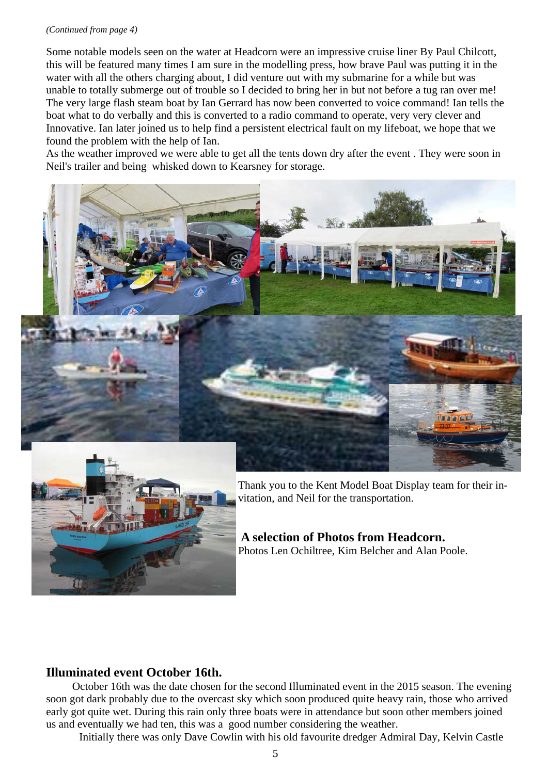#### *(Continued from page 4)*

Some notable models seen on the water at Headcorn were an impressive cruise liner By Paul Chilcott, this will be featured many times I am sure in the modelling press, how brave Paul was putting it in the water with all the others charging about, I did venture out with my submarine for a while but was unable to totally submerge out of trouble so I decided to bring her in but not before a tug ran over me! The very large flash steam boat by Ian Gerrard has now been converted to voice command! Ian tells the boat what to do verbally and this is converted to a radio command to operate, very very clever and Innovative. Ian later joined us to help find a persistent electrical fault on my lifeboat, we hope that we found the problem with the help of Ian.

As the weather improved we were able to get all the tents down dry after the event . They were soon in Neil's trailer and being whisked down to Kearsney for storage.





Thank you to the Kent Model Boat Display team for their invitation, and Neil for the transportation.

#### **A selection of Photos from Headcorn.**  Photos Len Ochiltree, Kim Belcher and Alan Poole.

### **Illuminated event October 16th.**

 October 16th was the date chosen for the second Illuminated event in the 2015 season. The evening soon got dark probably due to the overcast sky which soon produced quite heavy rain, those who arrived early got quite wet. During this rain only three boats were in attendance but soon other members joined us and eventually we had ten, this was a good number considering the weather.

Initially there was only Dave Cowlin with his old favourite dredger Admiral Day, Kelvin Castle